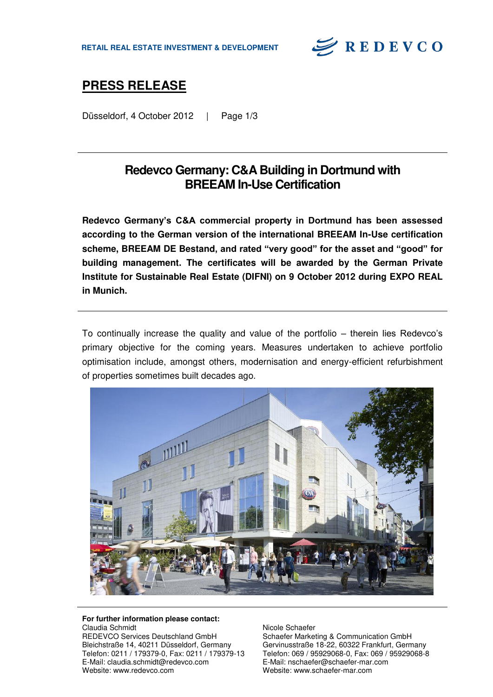

# **PRESS RELEASE**

Düsseldorf, 4 October 2012 | Page 1/3

### **Redevco Germany: C&A Building in Dortmund with BREEAM In-Use Certification**

**Redevco Germany's C&A commercial property in Dortmund has been assessed according to the German version of the international BREEAM In-Use certification scheme, BREEAM DE Bestand, and rated "very good" for the asset and "good" for building management. The certificates will be awarded by the German Private Institute for Sustainable Real Estate (DIFNI) on 9 October 2012 during EXPO REAL in Munich.** 

To continually increase the quality and value of the portfolio – therein lies Redevco's primary objective for the coming years. Measures undertaken to achieve portfolio optimisation include, amongst others, modernisation and energy-efficient refurbishment of properties sometimes built decades ago.



#### **For further information please contact:**  Claudia Schmidt

REDEVCO Services Deutschland GmbH Bleichstraße 14, 40211 Düsseldorf, Germany Telefon: 0211 / 179379-0, Fax: 0211 / 179379-13 E-Mail: claudia.schmidt@redevco.com Website: www.redevco.com

Nicole Schaefer Schaefer Marketing & Communication GmbH Gervinusstraße 18-22, 60322 Frankfurt, Germany Telefon: 069 / 95929068-0, Fax: 069 / 95929068-8 E-Mail: nschaefer@schaefer-mar.com Website: www.schaefer-mar.com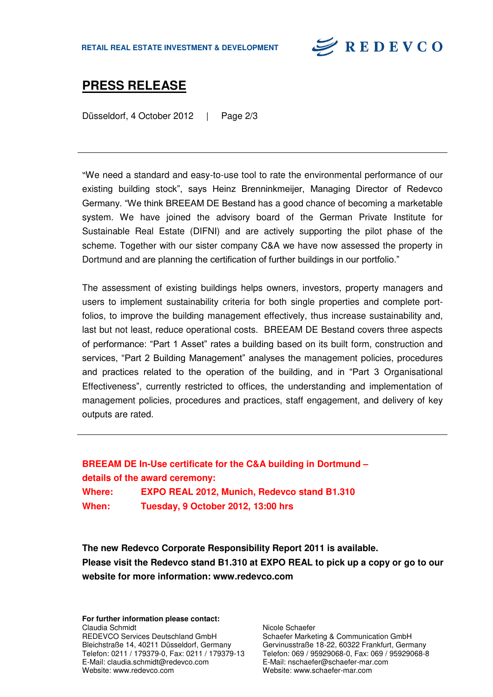

### **PRESS RELEASE**

Düsseldorf, 4 October 2012 | Page 2/3

"We need a standard and easy-to-use tool to rate the environmental performance of our existing building stock", says Heinz Brenninkmeijer, Managing Director of Redevco Germany. "We think BREEAM DE Bestand has a good chance of becoming a marketable system. We have joined the advisory board of the German Private Institute for Sustainable Real Estate (DIFNI) and are actively supporting the pilot phase of the scheme. Together with our sister company C&A we have now assessed the property in Dortmund and are planning the certification of further buildings in our portfolio."

The assessment of existing buildings helps owners, investors, property managers and users to implement sustainability criteria for both single properties and complete portfolios, to improve the building management effectively, thus increase sustainability and, last but not least, reduce operational costs. BREEAM DE Bestand covers three aspects of performance: "Part 1 Asset" rates a building based on its built form, construction and services, "Part 2 Building Management" analyses the management policies, procedures and practices related to the operation of the building, and in "Part 3 Organisational Effectiveness", currently restricted to offices, the understanding and implementation of management policies, procedures and practices, staff engagement, and delivery of key outputs are rated.

**BREEAM DE In-Use certificate for the C&A building in Dortmund – details of the award ceremony: Where: EXPO REAL 2012, Munich, Redevco stand B1.310 When: Tuesday, 9 October 2012, 13:00 hrs**

**The new Redevco Corporate Responsibility Report 2011 is available. Please visit the Redevco stand B1.310 at EXPO REAL to pick up a copy or go to our website for more information: www.redevco.com** 

**For further information please contact:**  Claudia Schmidt REDEVCO Services Deutschland GmbH Bleichstraße 14, 40211 Düsseldorf, Germany Telefon: 0211 / 179379-0, Fax: 0211 / 179379-13 E-Mail: claudia.schmidt@redevco.com Website: www.redevco.com

Nicole Schaefer Schaefer Marketing & Communication GmbH Gervinusstraße 18-22, 60322 Frankfurt, Germany Telefon: 069 / 95929068-0, Fax: 069 / 95929068-8 E-Mail: nschaefer@schaefer-mar.com Website: www.schaefer-mar.com